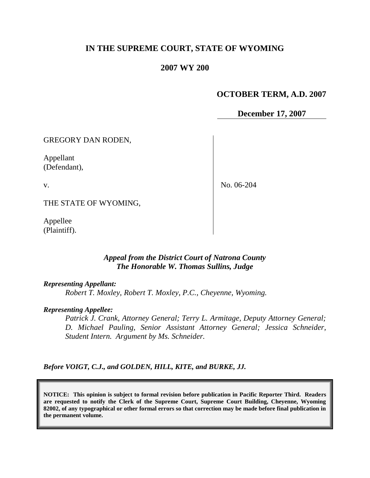# **IN THE SUPREME COURT, STATE OF WYOMING**

#### **2007 WY 200**

### **OCTOBER TERM, A.D. 2007**

**December 17, 2007**

GREGORY DAN RODEN,

Appellant (Defendant),

v.

No. 06-204

THE STATE OF WYOMING,

Appellee (Plaintiff).

#### *Appeal from the District Court of Natrona County The Honorable W. Thomas Sullins, Judge*

#### *Representing Appellant:*

*Robert T. Moxley, Robert T. Moxley, P.C., Cheyenne, Wyoming.*

#### *Representing Appellee:*

*Patrick J. Crank, Attorney General; Terry L. Armitage, Deputy Attorney General; D. Michael Pauling, Senior Assistant Attorney General; Jessica Schneider, Student Intern. Argument by Ms. Schneider.*

*Before VOIGT, C.J., and GOLDEN, HILL, KITE, and BURKE, JJ.*

**NOTICE: This opinion is subject to formal revision before publication in Pacific Reporter Third. Readers are requested to notify the Clerk of the Supreme Court, Supreme Court Building, Cheyenne, Wyoming 82002, of any typographical or other formal errors so that correction may be made before final publication in the permanent volume.**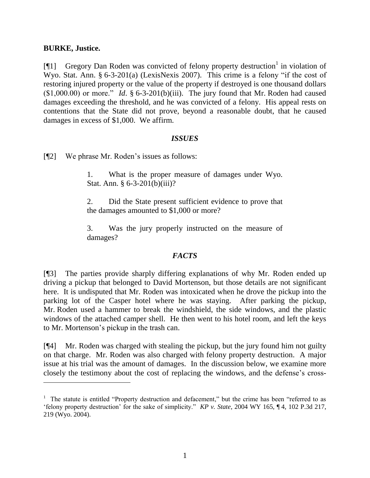#### **BURKE, Justice.**

 $\overline{a}$ 

[ $[1]$  Gregory Dan Roden was convicted of felony property destruction<sup>1</sup> in violation of Wyo. Stat. Ann. § 6-3-201(a) (LexisNexis 2007). This crime is a felony "if the cost of restoring injured property or the value of the property if destroyed is one thousand dollars  $(1,000.00)$  or more." *Id.* § 6-3-201(b)(iii). The jury found that Mr. Roden had caused damages exceeding the threshold, and he was convicted of a felony. His appeal rests on contentions that the State did not prove, beyond a reasonable doubt, that he caused damages in excess of \$1,000. We affirm.

#### *ISSUES*

[¶2] We phrase Mr. Roden"s issues as follows:

1. What is the proper measure of damages under Wyo. Stat. Ann. § 6-3-201(b)(iii)?

2. Did the State present sufficient evidence to prove that the damages amounted to \$1,000 or more?

3. Was the jury properly instructed on the measure of damages?

## *FACTS*

[¶3] The parties provide sharply differing explanations of why Mr. Roden ended up driving a pickup that belonged to David Mortenson, but those details are not significant here. It is undisputed that Mr. Roden was intoxicated when he drove the pickup into the parking lot of the Casper hotel where he was staying. After parking the pickup, Mr. Roden used a hammer to break the windshield, the side windows, and the plastic windows of the attached camper shell. He then went to his hotel room, and left the keys to Mr. Mortenson"s pickup in the trash can.

[¶4] Mr. Roden was charged with stealing the pickup, but the jury found him not guilty on that charge. Mr. Roden was also charged with felony property destruction. A major issue at his trial was the amount of damages. In the discussion below, we examine more closely the testimony about the cost of replacing the windows, and the defense"s cross-

<sup>&</sup>lt;sup>1</sup> The statute is entitled "Property destruction and defacement," but the crime has been "referred to as "felony property destruction" for the sake of simplicity." *KP v. State*, 2004 WY 165, ¶ 4, 102 P.3d 217, 219 (Wyo. 2004).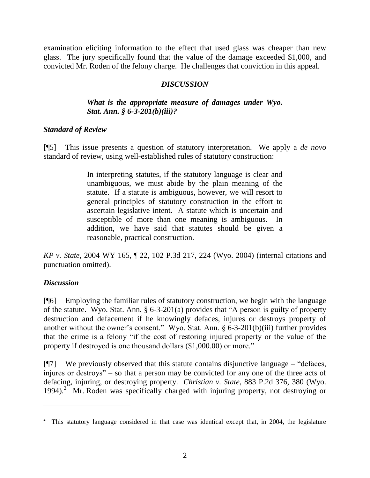examination eliciting information to the effect that used glass was cheaper than new glass. The jury specifically found that the value of the damage exceeded \$1,000, and convicted Mr. Roden of the felony charge. He challenges that conviction in this appeal.

### *DISCUSSION*

### *What is the appropriate measure of damages under Wyo. Stat. Ann. § 6-3-201(b)(iii)?*

## *Standard of Review*

[¶5] This issue presents a question of statutory interpretation. We apply a *de novo* standard of review, using well-established rules of statutory construction:

> In interpreting statutes, if the statutory language is clear and unambiguous, we must abide by the plain meaning of the statute. If a statute is ambiguous, however, we will resort to general principles of statutory construction in the effort to ascertain legislative intent. A statute which is uncertain and susceptible of more than one meaning is ambiguous. In addition, we have said that statutes should be given a reasonable, practical construction.

*KP v. State*, 2004 WY 165, ¶ 22, 102 P.3d 217, 224 (Wyo. 2004) (internal citations and punctuation omitted).

## *Discussion*

[¶6] Employing the familiar rules of statutory construction, we begin with the language of the statute. Wyo. Stat. Ann. § 6-3-201(a) provides that "A person is guilty of property destruction and defacement if he knowingly defaces, injures or destroys property of another without the owner's consent." Wyo. Stat. Ann. § 6-3-201(b)(iii) further provides that the crime is a felony "if the cost of restoring injured property or the value of the property if destroyed is one thousand dollars (\$1,000.00) or more."

 $[$ [ $\degree$ ] We previously observed that this statute contains disjunctive language – "defaces, injures or destroys" – so that a person may be convicted for any one of the three acts of defacing, injuring, or destroying property. *Christian v. State*, 883 P.2d 376, 380 (Wyo. 1994). 2 Mr. Roden was specifically charged with injuring property, not destroying or

<sup>2</sup> This statutory language considered in that case was identical except that, in 2004, the legislature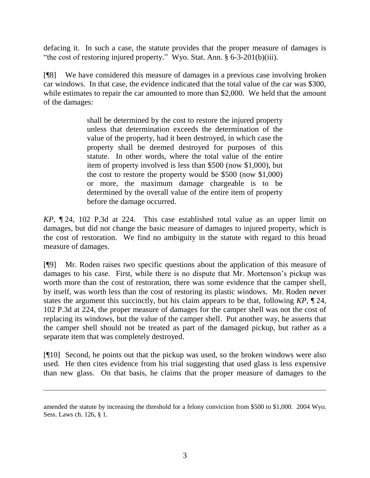defacing it. In such a case, the statute provides that the proper measure of damages is "the cost of restoring injured property." Wyo. Stat. Ann. § 6-3-201(b)(iii).

[¶8] We have considered this measure of damages in a previous case involving broken car windows. In that case, the evidence indicated that the total value of the car was \$300, while estimates to repair the car amounted to more than \$2,000. We held that the amount of the damages:

> shall be determined by the cost to restore the injured property unless that determination exceeds the determination of the value of the property, had it been destroyed, in which case the property shall be deemed destroyed for purposes of this statute. In other words, where the total value of the entire item of property involved is less than \$500 (now \$1,000), but the cost to restore the property would be \$500 (now \$1,000) or more, the maximum damage chargeable is to be determined by the overall value of the entire item of property before the damage occurred.

*KP*, ¶ 24, 102 P.3d at 224. This case established total value as an upper limit on damages, but did not change the basic measure of damages to injured property, which is the cost of restoration. We find no ambiguity in the statute with regard to this broad measure of damages.

[¶9] Mr. Roden raises two specific questions about the application of this measure of damages to his case. First, while there is no dispute that Mr. Mortenson"s pickup was worth more than the cost of restoration, there was some evidence that the camper shell, by itself, was worth less than the cost of restoring its plastic windows. Mr. Roden never states the argument this succinctly, but his claim appears to be that, following *KP*, ¶ 24, 102 P.3d at 224, the proper measure of damages for the camper shell was not the cost of replacing its windows, but the value of the camper shell. Put another way, he asserts that the camper shell should not be treated as part of the damaged pickup, but rather as a separate item that was completely destroyed.

[¶10] Second, he points out that the pickup was used, so the broken windows were also used. He then cites evidence from his trial suggesting that used glass is less expensive than new glass. On that basis, he claims that the proper measure of damages to the

amended the statute by increasing the threshold for a felony conviction from \$500 to \$1,000. 2004 Wyo. Sess. Laws ch. 126, § 1.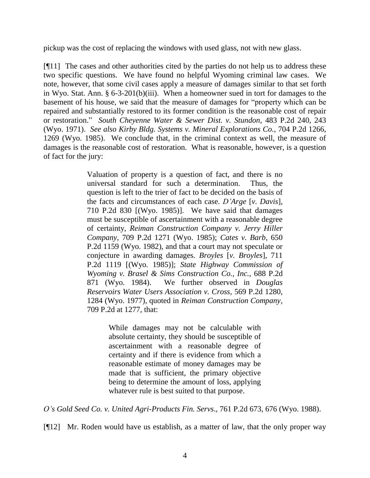pickup was the cost of replacing the windows with used glass, not with new glass.

[¶11] The cases and other authorities cited by the parties do not help us to address these two specific questions. We have found no helpful Wyoming criminal law cases. We note, however, that some civil cases apply a measure of damages similar to that set forth in Wyo. Stat. Ann. § 6-3-201(b)(iii). When a homeowner sued in tort for damages to the basement of his house, we said that the measure of damages for "property which can be repaired and substantially restored to its former condition is the reasonable cost of repair or restoration." *South Cheyenne Water & Sewer Dist. v. Stundon*, 483 P.2d 240, 243 (Wyo. 1971). *See also Kirby Bldg. Systems v. Mineral Explorations Co.*, 704 P.2d 1266, 1269 (Wyo. 1985). We conclude that, in the criminal context as well, the measure of damages is the reasonable cost of restoration. What is reasonable, however, is a question of fact for the jury:

> Valuation of property is a question of fact, and there is no universal standard for such a determination. Thus, the question is left to the trier of fact to be decided on the basis of the facts and circumstances of each case. *D'Arge* [*v. Davis*], 710 P.2d 830 [(Wyo. 1985)]. We have said that damages must be susceptible of ascertainment with a reasonable degree of certainty, *Reiman Construction Company v. Jerry Hiller Company*, 709 P.2d 1271 (Wyo. 1985); *Cates v. Barb*, 650 P.2d 1159 (Wyo. 1982), and that a court may not speculate or conjecture in awarding damages. *Broyles* [*v. Broyles*], 711 P.2d 1119 [(Wyo. 1985)]; *State Highway Commission of Wyoming v. Brasel & Sims Construction Co., Inc.*, 688 P.2d 871 (Wyo. 1984). We further observed in *Douglas Reservoirs Water Users Association v. Cross*, 569 P.2d 1280, 1284 (Wyo. 1977), quoted in *Reiman Construction Company*, 709 P.2d at 1277, that:

> > While damages may not be calculable with absolute certainty, they should be susceptible of ascertainment with a reasonable degree of certainty and if there is evidence from which a reasonable estimate of money damages may be made that is sufficient, the primary objective being to determine the amount of loss, applying whatever rule is best suited to that purpose.

*O's Gold Seed Co. v. United Agri-Products Fin. Servs*., 761 P.2d 673, 676 (Wyo. 1988).

[¶12] Mr. Roden would have us establish, as a matter of law, that the only proper way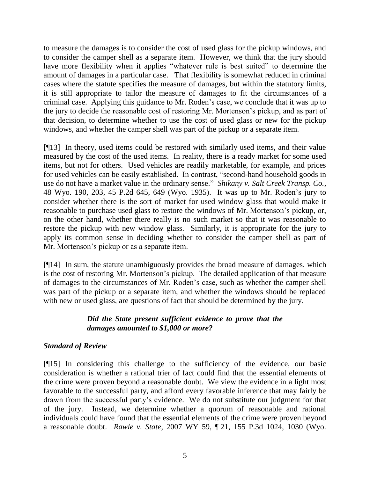to measure the damages is to consider the cost of used glass for the pickup windows, and to consider the camper shell as a separate item. However, we think that the jury should have more flexibility when it applies "whatever rule is best suited" to determine the amount of damages in a particular case. That flexibility is somewhat reduced in criminal cases where the statute specifies the measure of damages, but within the statutory limits, it is still appropriate to tailor the measure of damages to fit the circumstances of a criminal case. Applying this guidance to Mr. Roden"s case, we conclude that it was up to the jury to decide the reasonable cost of restoring Mr. Mortenson"s pickup, and as part of that decision, to determine whether to use the cost of used glass or new for the pickup windows, and whether the camper shell was part of the pickup or a separate item.

[¶13] In theory, used items could be restored with similarly used items, and their value measured by the cost of the used items. In reality, there is a ready market for some used items, but not for others. Used vehicles are readily marketable, for example, and prices for used vehicles can be easily established. In contrast, "second-hand household goods in use do not have a market value in the ordinary sense." *Shikany v. Salt Creek Transp. Co.*, 48 Wyo. 190, 203, 45 P.2d 645, 649 (Wyo. 1935). It was up to Mr. Roden"s jury to consider whether there is the sort of market for used window glass that would make it reasonable to purchase used glass to restore the windows of Mr. Mortenson"s pickup, or, on the other hand, whether there really is no such market so that it was reasonable to restore the pickup with new window glass. Similarly, it is appropriate for the jury to apply its common sense in deciding whether to consider the camper shell as part of Mr. Mortenson"s pickup or as a separate item.

[¶14] In sum, the statute unambiguously provides the broad measure of damages, which is the cost of restoring Mr. Mortenson"s pickup. The detailed application of that measure of damages to the circumstances of Mr. Roden"s case, such as whether the camper shell was part of the pickup or a separate item, and whether the windows should be replaced with new or used glass, are questions of fact that should be determined by the jury.

# *Did the State present sufficient evidence to prove that the damages amounted to \$1,000 or more?*

## *Standard of Review*

[¶15] In considering this challenge to the sufficiency of the evidence, our basic consideration is whether a rational trier of fact could find that the essential elements of the crime were proven beyond a reasonable doubt. We view the evidence in a light most favorable to the successful party, and afford every favorable inference that may fairly be drawn from the successful party"s evidence. We do not substitute our judgment for that of the jury. Instead, we determine whether a quorum of reasonable and rational individuals could have found that the essential elements of the crime were proven beyond a reasonable doubt. *Rawle v. State*, 2007 WY 59, ¶ 21, 155 P.3d 1024, 1030 (Wyo.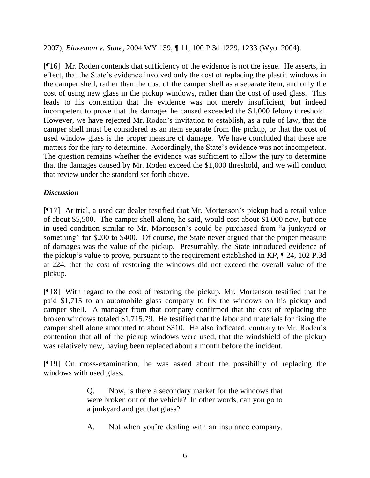2007); *Blakeman v. State*, 2004 WY 139, ¶ 11, 100 P.3d 1229, 1233 (Wyo. 2004).

[¶16] Mr. Roden contends that sufficiency of the evidence is not the issue. He asserts, in effect, that the State"s evidence involved only the cost of replacing the plastic windows in the camper shell, rather than the cost of the camper shell as a separate item, and only the cost of using new glass in the pickup windows, rather than the cost of used glass. This leads to his contention that the evidence was not merely insufficient, but indeed incompetent to prove that the damages he caused exceeded the \$1,000 felony threshold. However, we have rejected Mr. Roden"s invitation to establish, as a rule of law, that the camper shell must be considered as an item separate from the pickup, or that the cost of used window glass is the proper measure of damage. We have concluded that these are matters for the jury to determine. Accordingly, the State's evidence was not incompetent. The question remains whether the evidence was sufficient to allow the jury to determine that the damages caused by Mr. Roden exceed the \$1,000 threshold, and we will conduct that review under the standard set forth above.

## *Discussion*

[¶17] At trial, a used car dealer testified that Mr. Mortenson"s pickup had a retail value of about \$5,500. The camper shell alone, he said, would cost about \$1,000 new, but one in used condition similar to Mr. Mortenson's could be purchased from "a junkyard or something" for \$200 to \$400. Of course, the State never argued that the proper measure of damages was the value of the pickup. Presumably, the State introduced evidence of the pickup"s value to prove, pursuant to the requirement established in *KP*, ¶ 24, 102 P.3d at 224, that the cost of restoring the windows did not exceed the overall value of the pickup.

[¶18] With regard to the cost of restoring the pickup, Mr. Mortenson testified that he paid \$1,715 to an automobile glass company to fix the windows on his pickup and camper shell. A manager from that company confirmed that the cost of replacing the broken windows totaled \$1,715.79. He testified that the labor and materials for fixing the camper shell alone amounted to about \$310. He also indicated, contrary to Mr. Roden"s contention that all of the pickup windows were used, that the windshield of the pickup was relatively new, having been replaced about a month before the incident.

[¶19] On cross-examination, he was asked about the possibility of replacing the windows with used glass.

> Q. Now, is there a secondary market for the windows that were broken out of the vehicle? In other words, can you go to a junkyard and get that glass?

> A. Not when you"re dealing with an insurance company.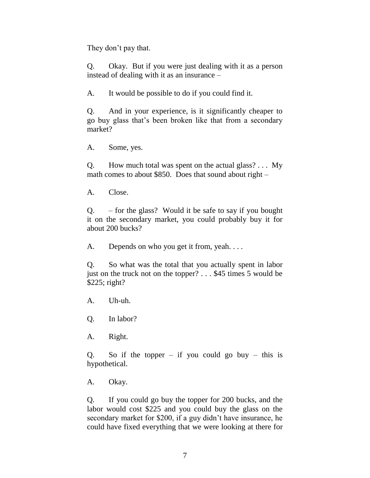They don't pay that.

Q. Okay. But if you were just dealing with it as a person instead of dealing with it as an insurance –

A. It would be possible to do if you could find it.

Q. And in your experience, is it significantly cheaper to go buy glass that"s been broken like that from a secondary market?

A. Some, yes.

Q. How much total was spent on the actual glass? . . . My math comes to about \$850. Does that sound about right –

A. Close.

 $Q.$  – for the glass? Would it be safe to say if you bought it on the secondary market, you could probably buy it for about 200 bucks?

A. Depends on who you get it from, yeah....

Q. So what was the total that you actually spent in labor just on the truck not on the topper? . . . \$45 times 5 would be \$225; right?

A. Uh-uh.

Q. In labor?

A. Right.

Q. So if the topper – if you could go buy – this is hypothetical.

A. Okay.

Q. If you could go buy the topper for 200 bucks, and the labor would cost \$225 and you could buy the glass on the secondary market for \$200, if a guy didn't have insurance, he could have fixed everything that we were looking at there for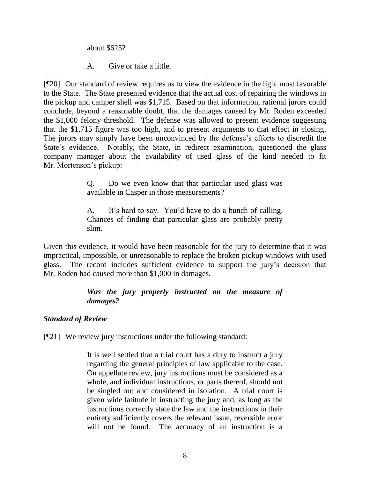about \$625?

A. Give or take a little.

[¶20] Our standard of review requires us to view the evidence in the light most favorable to the State. The State presented evidence that the actual cost of repairing the windows in the pickup and camper shell was \$1,715. Based on that information, rational jurors could conclude, beyond a reasonable doubt, that the damages caused by Mr. Roden exceeded the \$1,000 felony threshold. The defense was allowed to present evidence suggesting that the \$1,715 figure was too high, and to present arguments to that effect in closing. The jurors may simply have been unconvinced by the defense"s efforts to discredit the State"s evidence. Notably, the State, in redirect examination, questioned the glass company manager about the availability of used glass of the kind needed to fit Mr. Mortenson"s pickup:

> Q. Do we even know that that particular used glass was available in Casper in those measurements?

> A. It"s hard to say. You"d have to do a bunch of calling. Chances of finding that particular glass are probably pretty slim.

Given this evidence, it would have been reasonable for the jury to determine that it was impractical, impossible, or unreasonable to replace the broken pickup windows with used glass. The record includes sufficient evidence to support the jury"s decision that Mr. Roden had caused more than \$1,000 in damages.

# *Was the jury properly instructed on the measure of damages?*

# *Standard of Review*

[¶21] We review jury instructions under the following standard:

It is well settled that a trial court has a duty to instruct a jury regarding the general principles of law applicable to the case. On appellate review, jury instructions must be considered as a whole, and individual instructions, or parts thereof, should not be singled out and considered in isolation. A trial court is given wide latitude in instructing the jury and, as long as the instructions correctly state the law and the instructions in their entirety sufficiently covers the relevant issue, reversible error will not be found. The accuracy of an instruction is a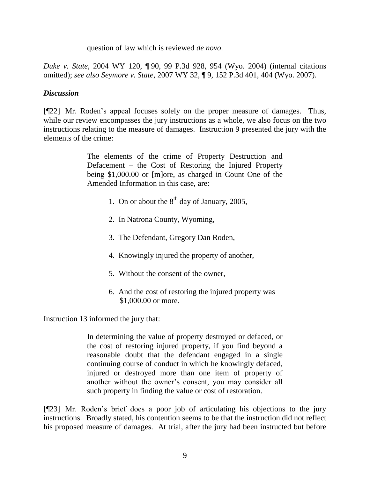question of law which is reviewed *de novo*.

*Duke v. State*, 2004 WY 120, ¶ 90, 99 P.3d 928, 954 (Wyo. 2004) (internal citations omitted); *see also Seymore v. State*, 2007 WY 32, ¶ 9, 152 P.3d 401, 404 (Wyo. 2007).

### *Discussion*

[¶22] Mr. Roden"s appeal focuses solely on the proper measure of damages. Thus, while our review encompasses the jury instructions as a whole, we also focus on the two instructions relating to the measure of damages. Instruction 9 presented the jury with the elements of the crime:

> The elements of the crime of Property Destruction and Defacement – the Cost of Restoring the Injured Property being \$1,000.00 or [m]ore, as charged in Count One of the Amended Information in this case, are:

- 1. On or about the  $8<sup>th</sup>$  day of January, 2005,
- 2. In Natrona County, Wyoming,
- 3. The Defendant, Gregory Dan Roden,
- 4. Knowingly injured the property of another,
- 5. Without the consent of the owner,
- 6. And the cost of restoring the injured property was \$1,000.00 or more.

Instruction 13 informed the jury that:

In determining the value of property destroyed or defaced, or the cost of restoring injured property, if you find beyond a reasonable doubt that the defendant engaged in a single continuing course of conduct in which he knowingly defaced, injured or destroyed more than one item of property of another without the owner"s consent, you may consider all such property in finding the value or cost of restoration.

[¶23] Mr. Roden"s brief does a poor job of articulating his objections to the jury instructions. Broadly stated, his contention seems to be that the instruction did not reflect his proposed measure of damages. At trial, after the jury had been instructed but before